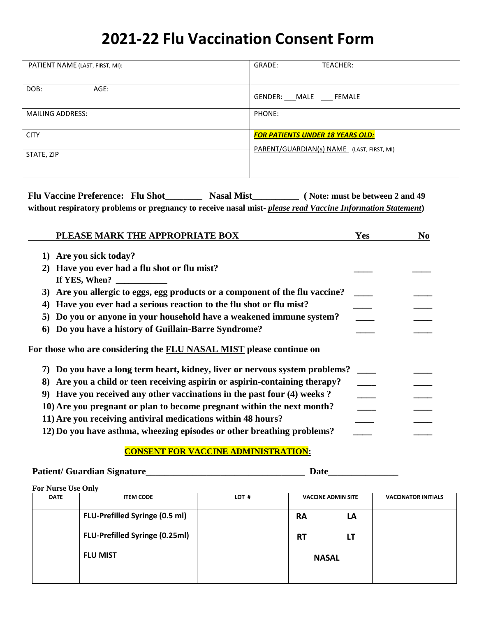# **2021-22 Flu Vaccination Consent Form**

| PATIENT NAME (LAST, FIRST, MI): | GRADE:<br>TEACHER:                                                                   |
|---------------------------------|--------------------------------------------------------------------------------------|
| DOB:<br>AGE:                    | GENDER: MALE FEMALE                                                                  |
| <b>MAILING ADDRESS:</b>         | PHONE:                                                                               |
| <b>CITY</b>                     | <b>FOR PATIENTS UNDER 18 YEARS OLD:</b><br>PARENT/GUARDIAN(s) NAME (LAST, FIRST, MI) |
| STATE, ZIP                      |                                                                                      |
|                                 |                                                                                      |

**Flu Vaccine Preference: Flu Shot\_\_\_\_\_\_\_\_ Nasal Mist\_\_\_\_\_\_\_\_\_\_ ( Note: must be between 2 and 49 without respiratory problems or pregnancy to receive nasal mist-** *please read Vaccine Information Statement***)**

| PLEASE MARK THE APPROPRIATE BOX                                                 | Yes | N <sub>0</sub> |
|---------------------------------------------------------------------------------|-----|----------------|
| Are you sick today?<br>1)                                                       |     |                |
| Have you ever had a flu shot or flu mist?<br>2)<br>If YES, When?                |     |                |
| Are you allergic to eggs, egg products or a component of the flu vaccine?<br>3) |     |                |
| Have you ever had a serious reaction to the flu shot or flu mist?               |     |                |
| Do you or anyone in your household have a weakened immune system?<br>5)         |     |                |
| Do you have a history of Guillain-Barre Syndrome?<br>6)                         |     |                |
| For those who are considering the FLU NASAL MIST please continue on             |     |                |
| Do you have a long term heart, kidney, liver or nervous system problems?<br>7)  |     |                |
| Are you a child or teen receiving aspirin or aspirin-containing therapy?<br>8)  |     |                |
| 9) Have you received any other vaccinations in the past four (4) weeks?         |     |                |
| 10) Are you pregnant or plan to become pregnant within the next month?          |     |                |
| 11) Are you receiving antiviral medications within 48 hours?                    |     |                |
| 12) Do you have asthma, wheezing episodes or other breathing problems?          |     |                |

### **CONSENT FOR VACCINE ADMINISTRATION:**

#### **Patient/ Guardian Signature\_\_\_\_\_\_\_\_\_\_\_\_\_\_\_\_\_\_\_\_\_\_\_\_\_\_\_\_\_\_\_\_\_\_ Date\_\_\_\_\_\_\_\_\_\_\_\_\_\_\_**

**For Nurse Use Only**

| <b>DATE</b> | <b>ITEM CODE</b>                      | LOT # | <b>VACCINE ADMIN SITE</b> |    | <b>VACCINATOR INITIALS</b> |
|-------------|---------------------------------------|-------|---------------------------|----|----------------------------|
|             | FLU-Prefilled Syringe (0.5 ml)        |       | <b>RA</b>                 | LA |                            |
|             | <b>FLU-Prefilled Syringe (0.25ml)</b> |       | <b>RT</b>                 | LT |                            |
|             | <b>FLU MIST</b>                       |       | <b>NASAL</b>              |    |                            |
|             |                                       |       |                           |    |                            |